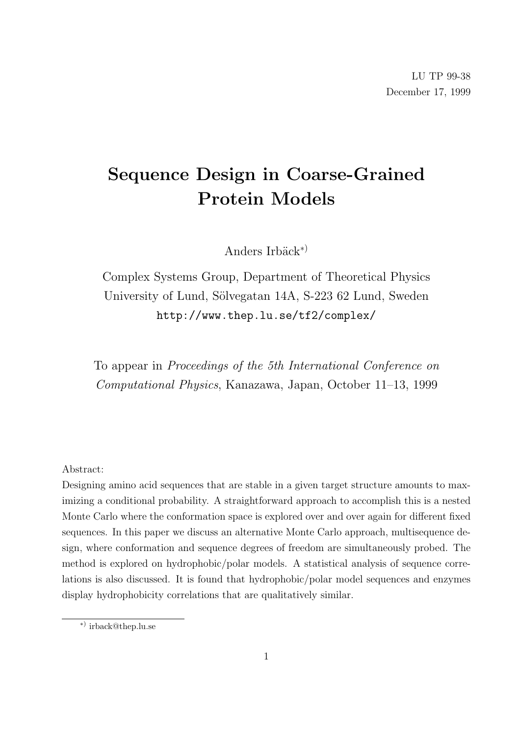# Sequence Design in Coarse-Grained Protein Models

Anders Irbäck<sup>\*)</sup>

Complex Systems Group, Department of Theoretical Physics University of Lund, Sölvegatan 14A, S-223 62 Lund, Sweden http://www.thep.lu.se/tf2/complex/

To appear in Proceedings of the 5th International Conference on Computational Physics, Kanazawa, Japan, October 11–13, 1999

Abstract:

Designing amino acid sequences that are stable in a given target structure amounts to maximizing a conditional probability. A straightforward approach to accomplish this is a nested Monte Carlo where the conformation space is explored over and over again for different fixed sequences. In this paper we discuss an alternative Monte Carlo approach, multisequence design, where conformation and sequence degrees of freedom are simultaneously probed. The method is explored on hydrophobic/polar models. A statistical analysis of sequence correlations is also discussed. It is found that hydrophobic/polar model sequences and enzymes display hydrophobicity correlations that are qualitatively similar.

<sup>∗</sup>) irback@thep.lu.se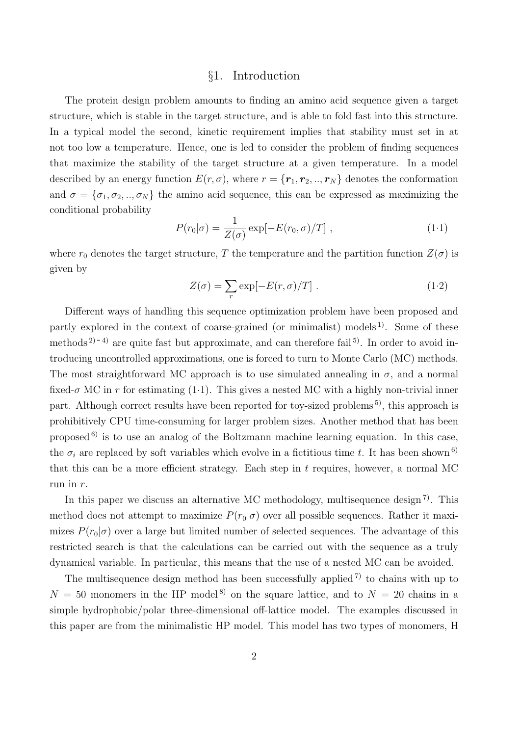## §1. Introduction

The protein design problem amounts to finding an amino acid sequence given a target structure, which is stable in the target structure, and is able to fold fast into this structure. In a typical model the second, kinetic requirement implies that stability must set in at not too low a temperature. Hence, one is led to consider the problem of finding sequences that maximize the stability of the target structure at a given temperature. In a model described by an energy function  $E(r, \sigma)$ , where  $r = \{r_1, r_2, ..., r_N\}$  denotes the conformation and  $\sigma = {\sigma_1, \sigma_2, ..., \sigma_N}$  the amino acid sequence, this can be expressed as maximizing the conditional probability

$$
P(r_0|\sigma) = \frac{1}{Z(\sigma)} \exp[-E(r_0, \sigma)/T], \qquad (1.1)
$$

where  $r_0$  denotes the target structure, T the temperature and the partition function  $Z(\sigma)$  is given by

$$
Z(\sigma) = \sum_{r} \exp[-E(r,\sigma)/T] \ . \tag{1.2}
$$

Different ways of handling this sequence optimization problem have been proposed and partly explored in the context of coarse-grained (or minimalist) models  $^{1}$ . Some of these methods<sup>2 $)$ -4)</sup> are quite fast but approximate, and can therefore fail<sup>5)</sup>. In order to avoid introducing uncontrolled approximations, one is forced to turn to Monte Carlo (MC) methods. The most straightforward MC approach is to use simulated annealing in  $\sigma$ , and a normal fixed- $\sigma$  MC in r for estimating (1.1). This gives a nested MC with a highly non-trivial inner part. Although correct results have been reported for toy-sized problems 5), this approach is prohibitively CPU time-consuming for larger problem sizes. Another method that has been proposed  $6$ ) is to use an analog of the Boltzmann machine learning equation. In this case, the  $\sigma_i$  are replaced by soft variables which evolve in a fictitious time t. It has been shown<sup>6)</sup> that this can be a more efficient strategy. Each step in  $t$  requires, however, a normal MC run in r.

In this paper we discuss an alternative MC methodology, multisequence design<sup>7)</sup>. This method does not attempt to maximize  $P(r_0|\sigma)$  over all possible sequences. Rather it maximizes  $P(r_0|\sigma)$  over a large but limited number of selected sequences. The advantage of this restricted search is that the calculations can be carried out with the sequence as a truly dynamical variable. In particular, this means that the use of a nested MC can be avoided.

The multisequence design method has been successfully applied  $(7)$  to chains with up to  $N = 50$  monomers in the HP model<sup>8)</sup> on the square lattice, and to  $N = 20$  chains in a simple hydrophobic/polar three-dimensional off-lattice model. The examples discussed in this paper are from the minimalistic HP model. This model has two types of monomers, H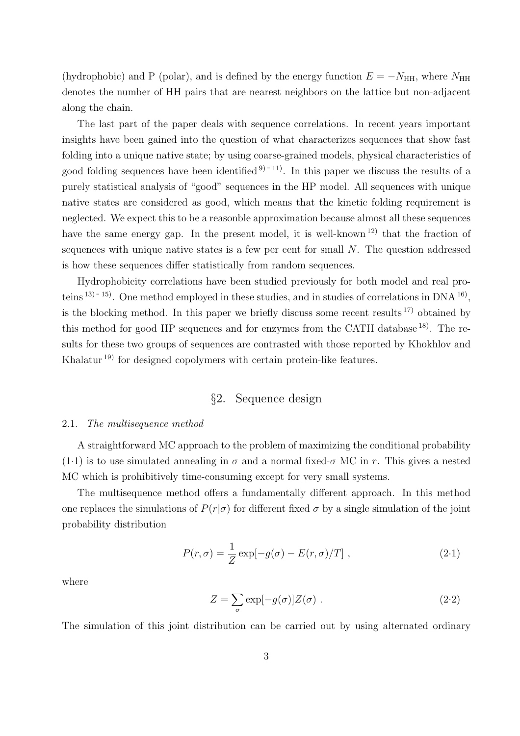(hydrophobic) and P (polar), and is defined by the energy function  $E = -N_{\text{HH}}$ , where  $N_{\text{HH}}$ denotes the number of HH pairs that are nearest neighbors on the lattice but non-adjacent along the chain.

The last part of the paper deals with sequence correlations. In recent years important insights have been gained into the question of what characterizes sequences that show fast folding into a unique native state; by using coarse-grained models, physical characteristics of good folding sequences have been identified  $9-11$ . In this paper we discuss the results of a purely statistical analysis of "good" sequences in the HP model. All sequences with unique native states are considered as good, which means that the kinetic folding requirement is neglected. We expect this to be a reasonble approximation because almost all these sequences have the same energy gap. In the present model, it is well-known<sup>12)</sup> that the fraction of sequences with unique native states is a few per cent for small N. The question addressed is how these sequences differ statistically from random sequences.

Hydrophobicity correlations have been studied previously for both model and real proteins  $(13)$ <sup>-15</sup>). One method employed in these studies, and in studies of correlations in DNA  $^{16}$ , is the blocking method. In this paper we briefly discuss some recent results  $^{17}$  obtained by this method for good HP sequences and for enzymes from the CATH database  $^{18}$ . The results for these two groups of sequences are contrasted with those reported by Khokhlov and Khalatur 19) for designed copolymers with certain protein-like features.

## §2. Sequence design

## 2.1. The multisequence method

A straightforward MC approach to the problem of maximizing the conditional probability  $(1.1)$  is to use simulated annealing in  $\sigma$  and a normal fixed- $\sigma$  MC in r. This gives a nested MC which is prohibitively time-consuming except for very small systems.

The multisequence method offers a fundamentally different approach. In this method one replaces the simulations of  $P(r|\sigma)$  for different fixed  $\sigma$  by a single simulation of the joint probability distribution

$$
P(r,\sigma) = \frac{1}{Z} \exp[-g(\sigma) - E(r,\sigma)/T], \qquad (2.1)
$$

where

$$
Z = \sum_{\sigma} \exp[-g(\sigma)] Z(\sigma) . \qquad (2.2)
$$

The simulation of this joint distribution can be carried out by using alternated ordinary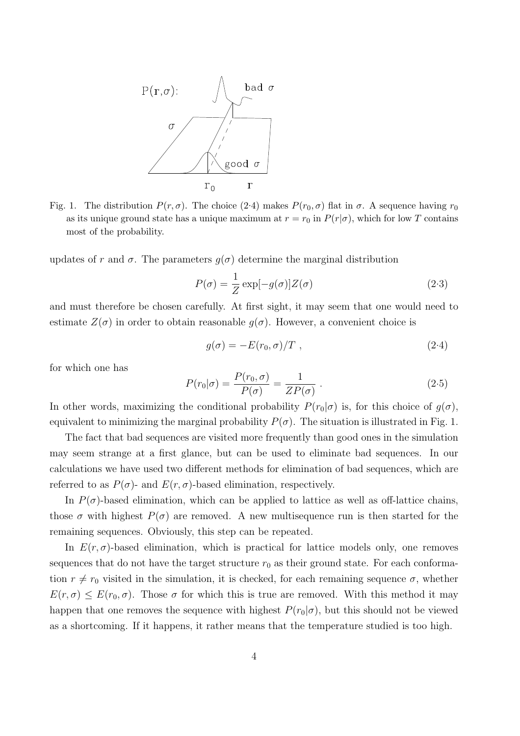

Fig. 1. The distribution  $P(r, \sigma)$ . The choice (2.4) makes  $P(r_0, \sigma)$  flat in  $\sigma$ . A sequence having  $r_0$ as its unique ground state has a unique maximum at  $r = r_0$  in  $P(r|\sigma)$ , which for low T contains most of the probability.

updates of r and  $\sigma$ . The parameters  $g(\sigma)$  determine the marginal distribution

$$
P(\sigma) = \frac{1}{Z} \exp[-g(\sigma)]Z(\sigma)
$$
 (2.3)

and must therefore be chosen carefully. At first sight, it may seem that one would need to estimate  $Z(\sigma)$  in order to obtain reasonable  $q(\sigma)$ . However, a convenient choice is

$$
g(\sigma) = -E(r_0, \sigma)/T \tag{2.4}
$$

for which one has

$$
P(r_0|\sigma) = \frac{P(r_0, \sigma)}{P(\sigma)} = \frac{1}{ZP(\sigma)}.
$$
\n(2.5)

In other words, maximizing the conditional probability  $P(r_0|\sigma)$  is, for this choice of  $g(\sigma)$ , equivalent to minimizing the marginal probability  $P(\sigma)$ . The situation is illustrated in Fig. 1.

The fact that bad sequences are visited more frequently than good ones in the simulation may seem strange at a first glance, but can be used to eliminate bad sequences. In our calculations we have used two different methods for elimination of bad sequences, which are referred to as  $P(\sigma)$ - and  $E(r, \sigma)$ -based elimination, respectively.

In  $P(\sigma)$ -based elimination, which can be applied to lattice as well as off-lattice chains, those  $\sigma$  with highest  $P(\sigma)$  are removed. A new multisequence run is then started for the remaining sequences. Obviously, this step can be repeated.

In  $E(r, \sigma)$ -based elimination, which is practical for lattice models only, one removes sequences that do not have the target structure  $r_0$  as their ground state. For each conformation  $r \neq r_0$  visited in the simulation, it is checked, for each remaining sequence  $\sigma$ , whether  $E(r,\sigma) \leq E(r_0,\sigma)$ . Those  $\sigma$  for which this is true are removed. With this method it may happen that one removes the sequence with highest  $P(r_0|\sigma)$ , but this should not be viewed as a shortcoming. If it happens, it rather means that the temperature studied is too high.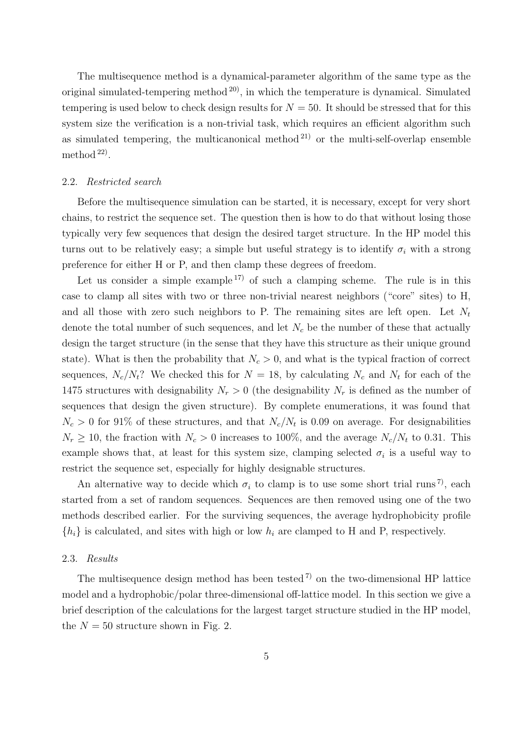The multisequence method is a dynamical-parameter algorithm of the same type as the original simulated-tempering method  $^{20}$ , in which the temperature is dynamical. Simulated tempering is used below to check design results for  $N = 50$ . It should be stressed that for this system size the verification is a non-trivial task, which requires an efficient algorithm such as simulated tempering, the multicanonical method  $2^{1}$  or the multi-self-overlap ensemble method<sup>22</sup>.

#### 2.2. Restricted search

Before the multisequence simulation can be started, it is necessary, except for very short chains, to restrict the sequence set. The question then is how to do that without losing those typically very few sequences that design the desired target structure. In the HP model this turns out to be relatively easy; a simple but useful strategy is to identify  $\sigma_i$  with a strong preference for either H or P, and then clamp these degrees of freedom.

Let us consider a simple example  $^{17}$  of such a clamping scheme. The rule is in this case to clamp all sites with two or three non-trivial nearest neighbors ("core" sites) to H, and all those with zero such neighbors to P. The remaining sites are left open. Let  $N_t$ denote the total number of such sequences, and let  $N_c$  be the number of these that actually design the target structure (in the sense that they have this structure as their unique ground state). What is then the probability that  $N_c > 0$ , and what is the typical fraction of correct sequences,  $N_c/N_t$ ? We checked this for  $N = 18$ , by calculating  $N_c$  and  $N_t$  for each of the 1475 structures with designability  $N_r > 0$  (the designability  $N_r$  is defined as the number of sequences that design the given structure). By complete enumerations, it was found that  $N_c > 0$  for 91% of these structures, and that  $N_c/N_t$  is 0.09 on average. For designabilities  $N_r \ge 10$ , the fraction with  $N_c > 0$  increases to 100%, and the average  $N_c/N_t$  to 0.31. This example shows that, at least for this system size, clamping selected  $\sigma_i$  is a useful way to restrict the sequence set, especially for highly designable structures.

An alternative way to decide which  $\sigma_i$  to clamp is to use some short trial runs<sup>7</sup>, each started from a set of random sequences. Sequences are then removed using one of the two methods described earlier. For the surviving sequences, the average hydrophobicity profile  ${h_i}$  is calculated, and sites with high or low  $h_i$  are clamped to H and P, respectively.

## 2.3. Results

The multisequence design method has been tested  $(7)$  on the two-dimensional HP lattice model and a hydrophobic/polar three-dimensional off-lattice model. In this section we give a brief description of the calculations for the largest target structure studied in the HP model, the  $N = 50$  structure shown in Fig. 2.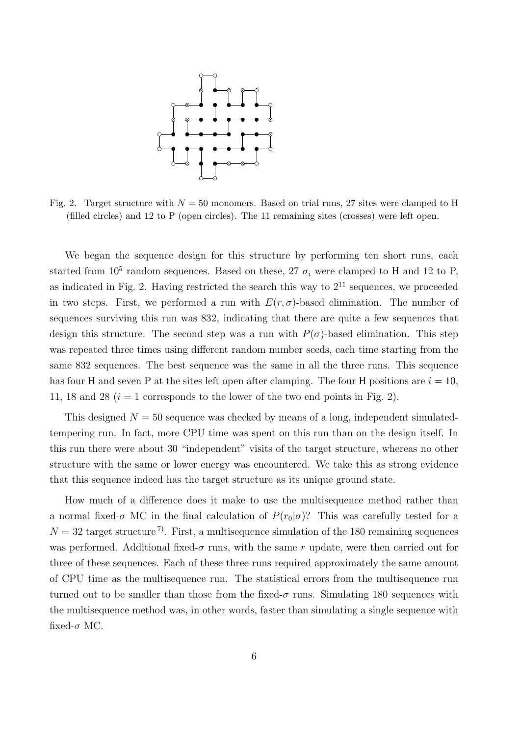

Fig. 2. Target structure with  $N = 50$  monomers. Based on trial runs, 27 sites were clamped to H (filled circles) and 12 to P (open circles). The 11 remaining sites (crosses) were left open.

We began the sequence design for this structure by performing ten short runs, each started from  $10^5$  random sequences. Based on these, 27  $\sigma_i$  were clamped to H and 12 to P, as indicated in Fig. 2. Having restricted the search this way to  $2^{11}$  sequences, we proceeded in two steps. First, we performed a run with  $E(r, \sigma)$ -based elimination. The number of sequences surviving this run was 832, indicating that there are quite a few sequences that design this structure. The second step was a run with  $P(\sigma)$ -based elimination. This step was repeated three times using different random number seeds, each time starting from the same 832 sequences. The best sequence was the same in all the three runs. This sequence has four H and seven P at the sites left open after clamping. The four H positions are  $i = 10$ , 11, 18 and 28  $(i = 1$  corresponds to the lower of the two end points in Fig. 2).

This designed  $N = 50$  sequence was checked by means of a long, independent simulatedtempering run. In fact, more CPU time was spent on this run than on the design itself. In this run there were about 30 "independent" visits of the target structure, whereas no other structure with the same or lower energy was encountered. We take this as strong evidence that this sequence indeed has the target structure as its unique ground state.

How much of a difference does it make to use the multisequence method rather than a normal fixed- $\sigma$  MC in the final calculation of  $P(r_0|\sigma)$ ? This was carefully tested for a  $N = 32$  target structure<sup>7</sup>. First, a multisequence simulation of the 180 remaining sequences was performed. Additional fixed- $\sigma$  runs, with the same r update, were then carried out for three of these sequences. Each of these three runs required approximately the same amount of CPU time as the multisequence run. The statistical errors from the multisequence run turned out to be smaller than those from the fixed- $\sigma$  runs. Simulating 180 sequences with the multisequence method was, in other words, faster than simulating a single sequence with fixed- $\sigma$  MC.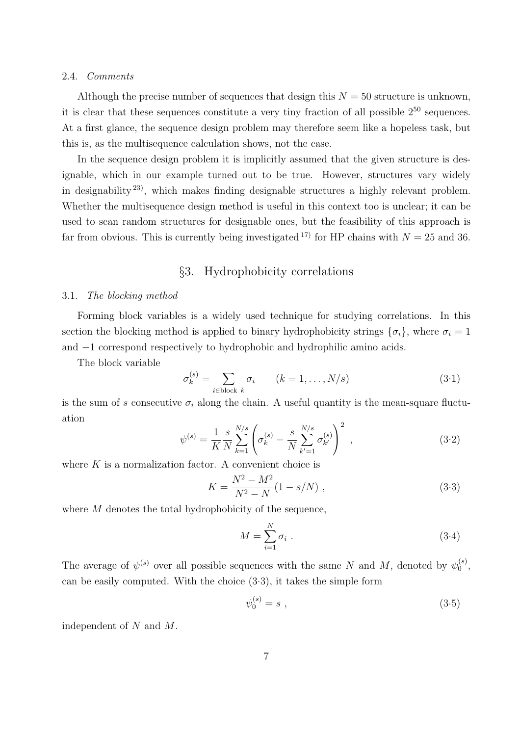### 2.4. Comments

Although the precise number of sequences that design this  $N = 50$  structure is unknown, it is clear that these sequences constitute a very tiny fraction of all possible  $2^{50}$  sequences. At a first glance, the sequence design problem may therefore seem like a hopeless task, but this is, as the multisequence calculation shows, not the case.

In the sequence design problem it is implicitly assumed that the given structure is designable, which in our example turned out to be true. However, structures vary widely in designability 23), which makes finding designable structures a highly relevant problem. Whether the multisequence design method is useful in this context too is unclear; it can be used to scan random structures for designable ones, but the feasibility of this approach is far from obvious. This is currently being investigated <sup>17</sup> for HP chains with  $N = 25$  and 36.

## §3. Hydrophobicity correlations

### 3.1. The blocking method

Forming block variables is a widely used technique for studying correlations. In this section the blocking method is applied to binary hydrophobicity strings  $\{\sigma_i\}$ , where  $\sigma_i = 1$ and −1 correspond respectively to hydrophobic and hydrophilic amino acids.

The block variable

$$
\sigma_k^{(s)} = \sum_{i \in \text{block } k} \sigma_i \qquad (k = 1, \dots, N/s)
$$
\n(3.1)

is the sum of s consecutive  $\sigma_i$  along the chain. A useful quantity is the mean-square fluctuation  $\overline{\phantom{a}}$  $\mathbf{r}$ 

$$
\psi^{(s)} = \frac{1}{K} \frac{s}{N} \sum_{k=1}^{N/s} \left( \sigma_k^{(s)} - \frac{s}{N} \sum_{k'=1}^{N/s} \sigma_{k'}^{(s)} \right)^2 , \qquad (3.2)
$$

where  $K$  is a normalization factor. A convenient choice is

$$
K = \frac{N^2 - M^2}{N^2 - N} (1 - s/N) , \qquad (3.3)
$$

where M denotes the total hydrophobicity of the sequence,

$$
M = \sum_{i=1}^{N} \sigma_i \tag{3.4}
$$

The average of  $\psi^{(s)}$  over all possible sequences with the same N and M, denoted by  $\psi_0^{(s)}$  $\mathbf{0}^{(s)},$ can be easily computed. With the choice (3.3), it takes the simple form

$$
\psi_0^{(s)} = s \; , \tag{3.5}
$$

independent of N and M.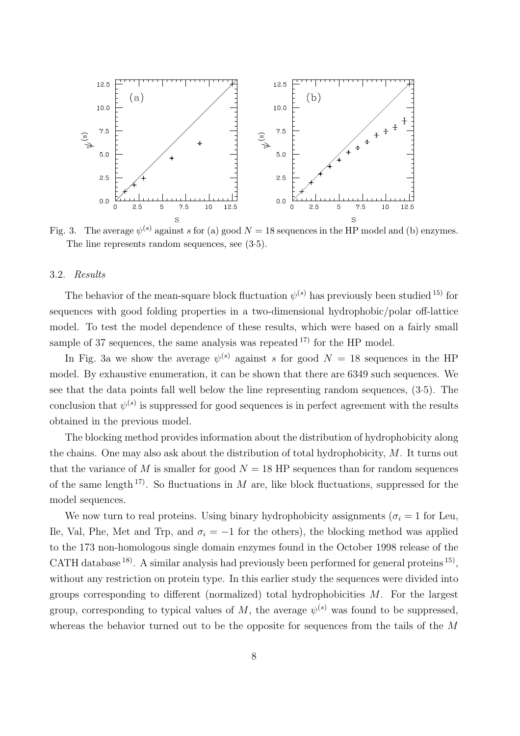

Fig. 3. The average  $\psi^{(s)}$  against s for (a) good  $N = 18$  sequences in the HP model and (b) enzymes. The line represents random sequences, see (3.5).

## 3.2. Results

The behavior of the mean-square block fluctuation  $\psi^{(s)}$  has previously been studied <sup>15)</sup> for sequences with good folding properties in a two-dimensional hydrophobic/polar off-lattice model. To test the model dependence of these results, which were based on a fairly small sample of 37 sequences, the same analysis was repeated  $^{17}$  for the HP model.

In Fig. 3a we show the average  $\psi^{(s)}$  against s for good  $N = 18$  sequences in the HP model. By exhaustive enumeration, it can be shown that there are 6349 such sequences. We see that the data points fall well below the line representing random sequences, (3.5). The conclusion that  $\psi^{(s)}$  is suppressed for good sequences is in perfect agreement with the results obtained in the previous model.

The blocking method provides information about the distribution of hydrophobicity along the chains. One may also ask about the distribution of total hydrophobicity, M. It turns out that the variance of M is smaller for good  $N = 18$  HP sequences than for random sequences of the same length <sup>17)</sup>. So fluctuations in M are, like block fluctuations, suppressed for the model sequences.

We now turn to real proteins. Using binary hydrophobicity assignments ( $\sigma_i = 1$  for Leu, Ile, Val, Phe, Met and Trp, and  $\sigma_i = -1$  for the others), the blocking method was applied to the 173 non-homologous single domain enzymes found in the October 1998 release of the CATH database  $^{18}$ . A similar analysis had previously been performed for general proteins  $^{15}$ , without any restriction on protein type. In this earlier study the sequences were divided into groups corresponding to different (normalized) total hydrophobicities M. For the largest group, corresponding to typical values of M, the average  $\psi^{(s)}$  was found to be suppressed, whereas the behavior turned out to be the opposite for sequences from the tails of the M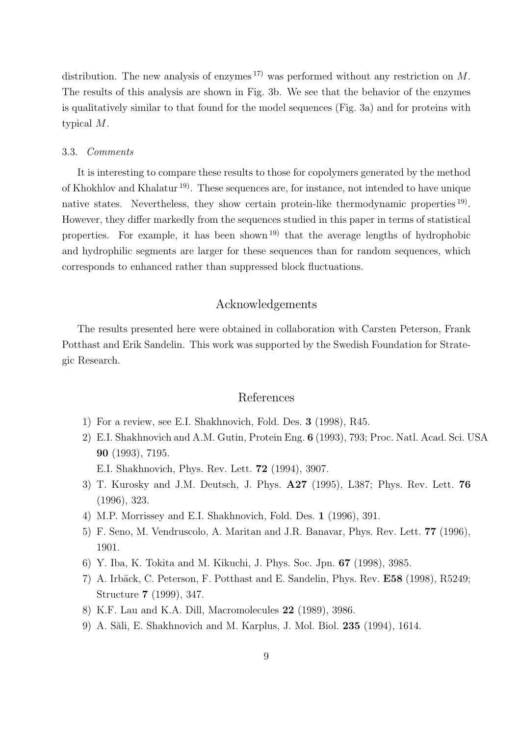distribution. The new analysis of enzymes  $^{17}$  was performed without any restriction on M. The results of this analysis are shown in Fig. 3b. We see that the behavior of the enzymes is qualitatively similar to that found for the model sequences (Fig. 3a) and for proteins with typical M.

#### 3.3. Comments

It is interesting to compare these results to those for copolymers generated by the method of Khokhlov and Khalatur 19). These sequences are, for instance, not intended to have unique native states. Nevertheless, they show certain protein-like thermodynamic properties <sup>19</sup>. However, they differ markedly from the sequences studied in this paper in terms of statistical properties. For example, it has been shown 19) that the average lengths of hydrophobic and hydrophilic segments are larger for these sequences than for random sequences, which corresponds to enhanced rather than suppressed block fluctuations.

## Acknowledgements

The results presented here were obtained in collaboration with Carsten Peterson, Frank Potthast and Erik Sandelin. This work was supported by the Swedish Foundation for Strategic Research.

## References

- 1) For a review, see E.I. Shakhnovich, Fold. Des. 3 (1998), R45.
- 2) E.I. Shakhnovich and A.M. Gutin, Protein Eng. 6 (1993), 793; Proc. Natl. Acad. Sci. USA 90 (1993), 7195.
	- E.I. Shakhnovich, Phys. Rev. Lett. 72 (1994), 3907.
- 3) T. Kurosky and J.M. Deutsch, J. Phys. A27 (1995), L387; Phys. Rev. Lett. 76 (1996), 323.
- 4) M.P. Morrissey and E.I. Shakhnovich, Fold. Des. 1 (1996), 391.
- 5) F. Seno, M. Vendruscolo, A. Maritan and J.R. Banavar, Phys. Rev. Lett. 77 (1996), 1901.
- 6) Y. Iba, K. Tokita and M. Kikuchi, J. Phys. Soc. Jpn. 67 (1998), 3985.
- 7) A. Irbäck, C. Peterson, F. Potthast and E. Sandelin, Phys. Rev. E58 (1998), R5249; Structure 7 (1999), 347.
- 8) K.F. Lau and K.A. Dill, Macromolecules 22 (1989), 3986.
- 9) A. Săli, E. Shakhnovich and M. Karplus, J. Mol. Biol. 235 (1994), 1614.